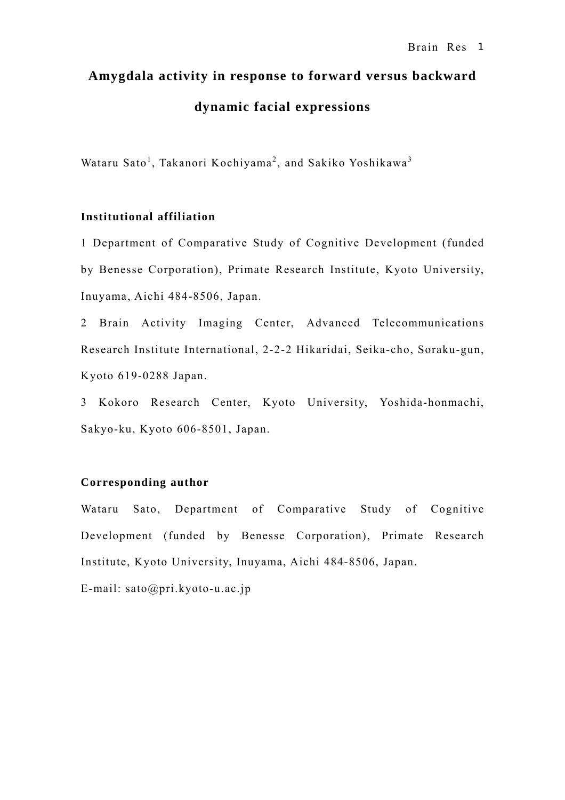# **Amygdala activity in response to forward versus backward dynamic facial expressions**

Wataru Sato<sup>1</sup>, Takanori Kochiyama<sup>2</sup>, and Sakiko Yoshikawa<sup>3</sup>

# **Institutional affiliation**

1 Department of Comparative Study of Cognitive Development (funded by Benesse Corporation), Primate Research Institute, Kyoto University, Inuyama, Aichi 484-8506, Japan.

2 Brain Activity Imaging Center, Advanced Telecommunications Research Institute International, 2-2-2 Hikaridai, Seika-cho, Soraku-gun, Kyoto 619-0288 Japan.

3 Kokoro Research Center, Kyoto University, Yoshida-honmachi, Sakyo-ku, Kyoto 606-8501, Japan.

# **Corresponding author**

Wataru Sato, Department of Comparative Study of Cognitive Development (funded by Benesse Corporation), Primate Research Institute, Kyoto University, Inuyama, Aichi 484-8506, Japan.

E-mail: sato@pri.kyoto-u.ac.jp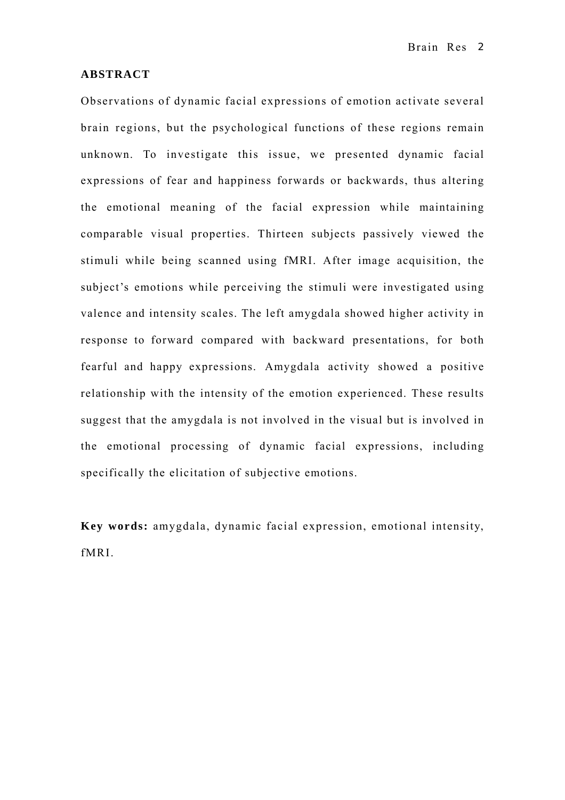#### **ABSTRACT**

Observations of dynamic facial expressions of emotion activate several brain regions, but the psychological functions of these regions remain unknown. To investigate this issue, we presented dynamic facial expressions of fear and happiness forwards or backwards, thus altering the emotional meaning of the facial expression while maintaining comparable visual properties. Thirteen subjects passively viewed the stimuli while being scanned using fMRI. After image acquisition, the subject's emotions while perceiving the stimuli were investigated using valence and intensity scales. The left amygdala showed higher activity in response to forward compared with backward presentations, for both fearful and happy expressions. Amygdala activity showed a positive relationship with the intensity of the emotion experienced. These results suggest that the amygdala is not involved in the visual but is involved in the emotional processing of dynamic facial expressions, including specifically the elicitation of subjective emotions.

**Key words:** amygdala, dynamic facial expression, emotional intensity, fMRI.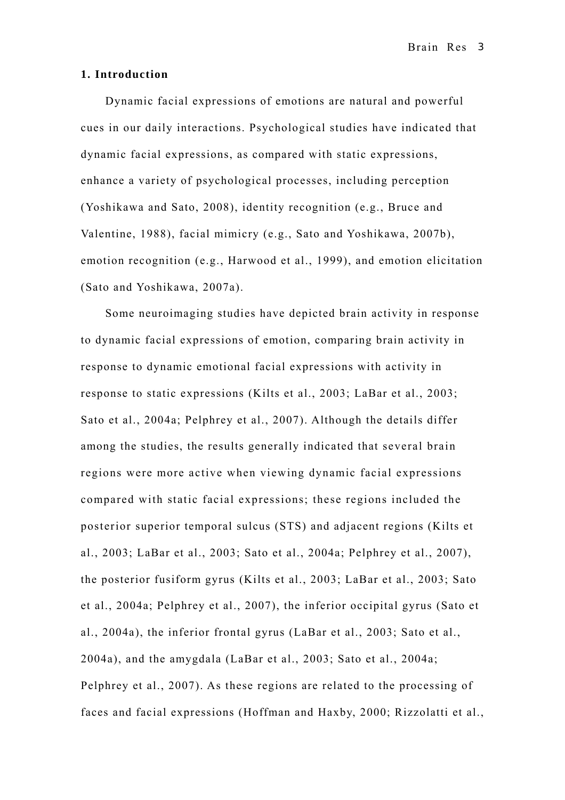#### **1. Introduction**

Dynamic facial expressions of emotions are natural and powerful cues in our daily interactions. Psychological studies have indicated that dynamic facial expressions, as compared with static expressions, enhance a variety of psychological processes, including perception (Yoshikawa and Sato, 2008), identity recognition (e.g., Bruce and Valentine, 1988), facial mimicry (e.g., Sato and Yoshikawa, 2007b), emotion recognition (e.g., Harwood et al., 1999), and emotion elicitation (Sato and Yoshikawa, 2007a).

Some neuroimaging studies have depicted brain activity in response to dynamic facial expressions of emotion, comparing brain activity in response to dynamic emotional facial expressions with activity in response to static expressions (Kilts et al., 2003; LaBar et al., 2003; Sato et al., 2004a; Pelphrey et al., 2007). Although the details differ among the studies, the results generally indicated that several brain regions were more active when viewing dynamic facial expressions compared with static facial expressions; these regions included the posterior superior temporal sulcus (STS) and adjacent regions (Kilts et al., 2003; LaBar et al., 2003; Sato et al., 2004a; Pelphrey et al., 2007), the posterior fusiform gyrus (Kilts et al., 2003; LaBar et al., 2003; Sato et al., 2004a; Pelphrey et al., 2007), the inferior occipital gyrus (Sato et al., 2004a), the inferior frontal gyrus (LaBar et al., 2003; Sato et al., 2004a), and the amygdala (LaBar et al., 2003; Sato et al., 2004a; Pelphrey et al., 2007). As these regions are related to the processing of faces and facial expressions (Hoffman and Haxby, 2000; Rizzolatti et al.,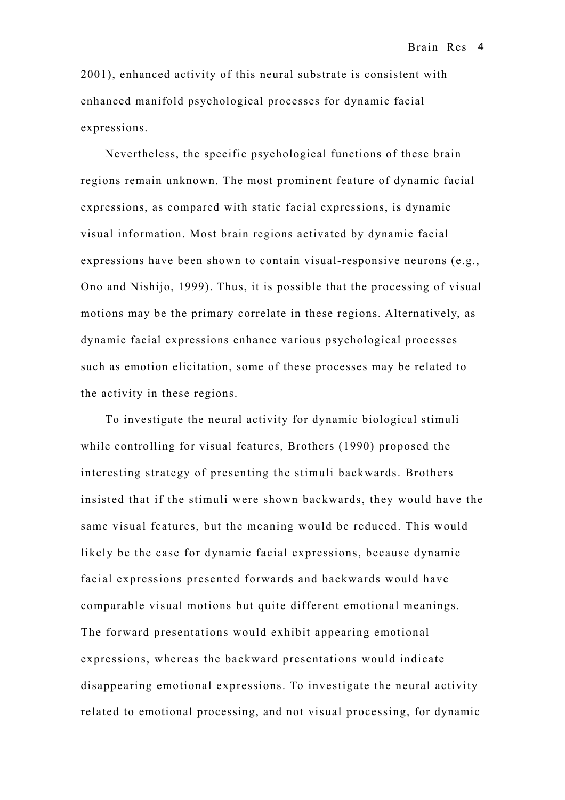2001), enhanced activity of this neural substrate is consistent with enhanced manifold psychological processes for dynamic facial expressions.

Nevertheless, the specific psychological functions of these brain regions remain unknown. The most prominent feature of dynamic facial expressions, as compared with static facial expressions, is dynamic visual information. Most brain regions activated by dynamic facial expressions have been shown to contain visual-responsive neurons (e.g., Ono and Nishijo, 1999). Thus, it is possible that the processing of visual motions may be the primary correlate in these regions. Alternatively, as dynamic facial expressions enhance various psychological processes such as emotion elicitation, some of these processes may be related to the activity in these regions.

To investigate the neural activity for dynamic biological stimuli while controlling for visual features, Brothers (1990) proposed the interesting strategy of presenting the stimuli backwards. Brothers insisted that if the stimuli were shown backwards, they would have the same visual features, but the meaning would be reduced. This would likely be the case for dynamic facial expressions, because dynamic facial expressions presented forwards and backwards would have comparable visual motions but quite different emotional meanings. The forward presentations would exhibit appearing emotional expressions, whereas the backward presentations would indicate disappearing emotional expressions. To investigate the neural activity related to emotional processing, and not visual processing, for dynamic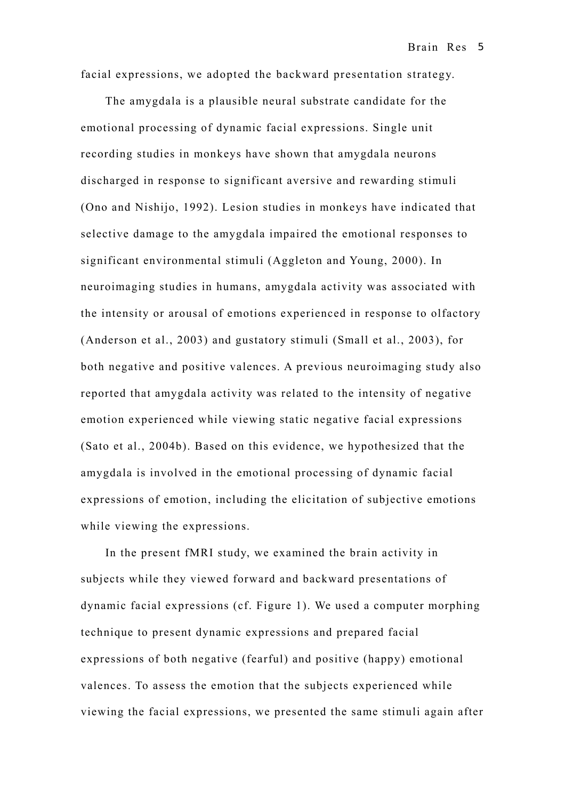facial expressions, we adopted the backward presentation strategy.

The amygdala is a plausible neural substrate candidate for the emotional processing of dynamic facial expressions. Single unit recording studies in monkeys have shown that amygdala neurons discharged in response to significant aversive and rewarding stimuli (Ono and Nishijo, 1992). Lesion studies in monkeys have indicated that selective damage to the amygdala impaired the emotional responses to significant environmental stimuli (Aggleton and Young, 2000). In neuroimaging studies in humans, amygdala activity was associated with the intensity or arousal of emotions experienced in response to olfactory (Anderson et al., 2003) and gustatory stimuli (Small et al., 2003), for both negative and positive valences. A previous neuroimaging study also reported that amygdala activity was related to the intensity of negative emotion experienced while viewing static negative facial expressions (Sato et al., 2004b). Based on this evidence, we hypothesized that the amygdala is involved in the emotional processing of dynamic facial expressions of emotion, including the elicitation of subjective emotions while viewing the expressions.

In the present fMRI study, we examined the brain activity in subjects while they viewed forward and backward presentations of dynamic facial expressions (cf. Figure 1). We used a computer morphing technique to present dynamic expressions and prepared facial expressions of both negative (fearful) and positive (happy) emotional valences. To assess the emotion that the subjects experienced while viewing the facial expressions, we presented the same stimuli again after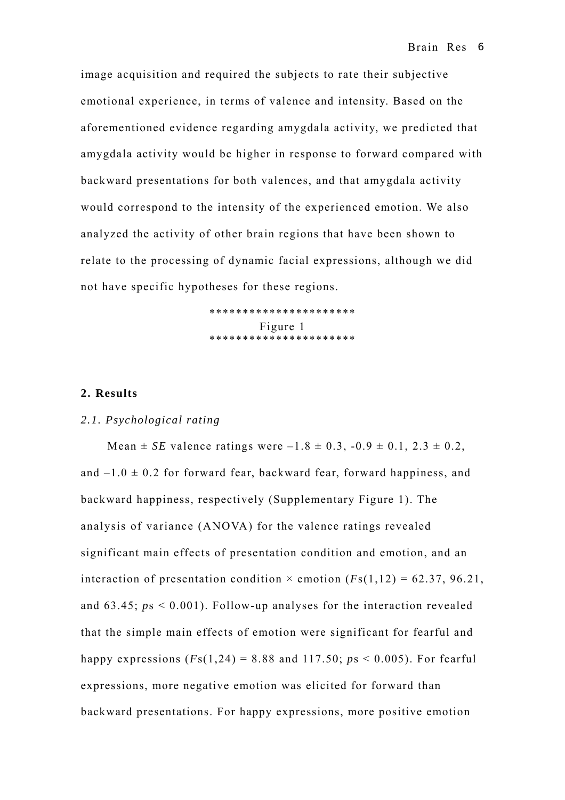image acquisition and required the subjects to rate their subjective emotional experience, in terms of valence and intensity. Based on the aforementioned evidence regarding amygdala activity, we predicted that amygdala activity would be higher in response to forward compared with backward presentations for both valences, and that amygdala activity would correspond to the intensity of the experienced emotion. We also analyzed the activity of other brain regions that have been shown to relate to the processing of dynamic facial expressions, although we did not have specific hypotheses for these regions.

> \*\*\*\*\*\*\*\*\*\*\*\*\*\*\*\*\*\*\*\*\*\* Figure 1 \*\*\*\*\*\*\*\*\*\*\*\*\*\*\*\*\*\*\*\*\*\*

#### **2. Results**

## *2.1. Psychological rating*

Mean  $\pm$  *SE* valence ratings were  $-1.8 \pm 0.3$ ,  $-0.9 \pm 0.1$ ,  $2.3 \pm 0.2$ , and  $-1.0 \pm 0.2$  for forward fear, backward fear, forward happiness, and backward happiness, respectively (Supplementary Figure 1). The analysis of variance (ANOVA) for the valence ratings revealed significant main effects of presentation condition and emotion, and an interaction of presentation condition  $\times$  emotion ( $Fs(1,12) = 62.37, 96.21$ , and 63.45; *p*s < 0.001). Follow-up analyses for the interaction revealed that the simple main effects of emotion were significant for fearful and happy expressions  $(Fs(1,24) = 8.88$  and  $117.50$ ;  $ps < 0.005$ ). For fearful expressions, more negative emotion was elicited for forward than backward presentations. For happy expressions, more positive emotion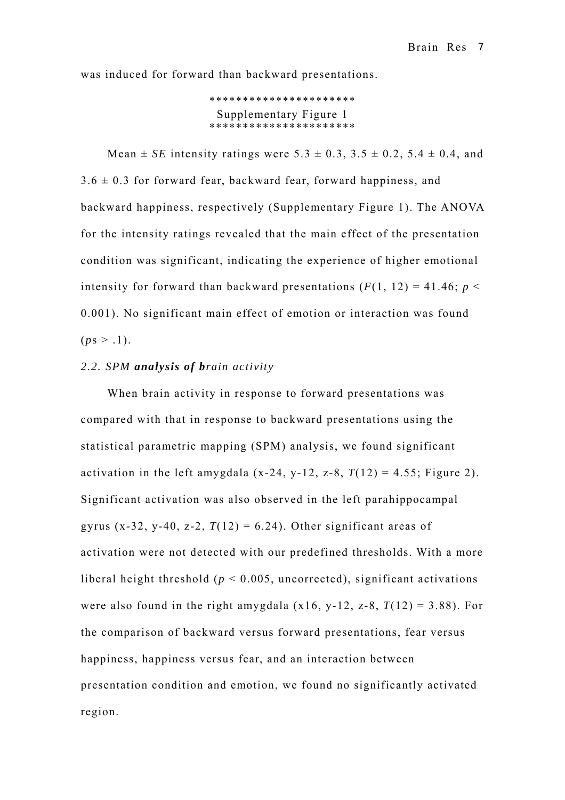was induced for forward than backward presentations.

```
********************** 
 Supplementary Figure 1 
*******************
```
Mean  $\pm$  *SE* intensity ratings were 5.3  $\pm$  0.3, 3.5  $\pm$  0.2, 5.4  $\pm$  0.4, and  $3.6 \pm 0.3$  for forward fear, backward fear, forward happiness, and backward happiness, respectively (Supplementary Figure 1). The ANOVA for the intensity ratings revealed that the main effect of the presentation condition was significant, indicating the experience of higher emotional intensity for forward than backward presentations  $(F(1, 12) = 41.46; p <$ 0.001). No significant main effect of emotion or interaction was found  $(ps > .1).$ 

# *2.2. SPM analysis of brain activity*

When brain activity in response to forward presentations was compared with that in response to backward presentations using the statistical parametric mapping (SPM) analysis, we found significant activation in the left amygdala  $(x-24, y-12, z-8, T(12) = 4.55$ ; Figure 2). Significant activation was also observed in the left parahippocampal gyrus (x-32, y-40, z-2,  $T(12) = 6.24$ ). Other significant areas of activation were not detected with our predefined thresholds. With a more liberal height threshold ( $p < 0.005$ , uncorrected), significant activations were also found in the right amygdala  $(x16, y-12, z-8, T(12) = 3.88)$ . For the comparison of backward versus forward presentations, fear versus happiness, happiness versus fear, and an interaction between presentation condition and emotion, we found no significantly activated region.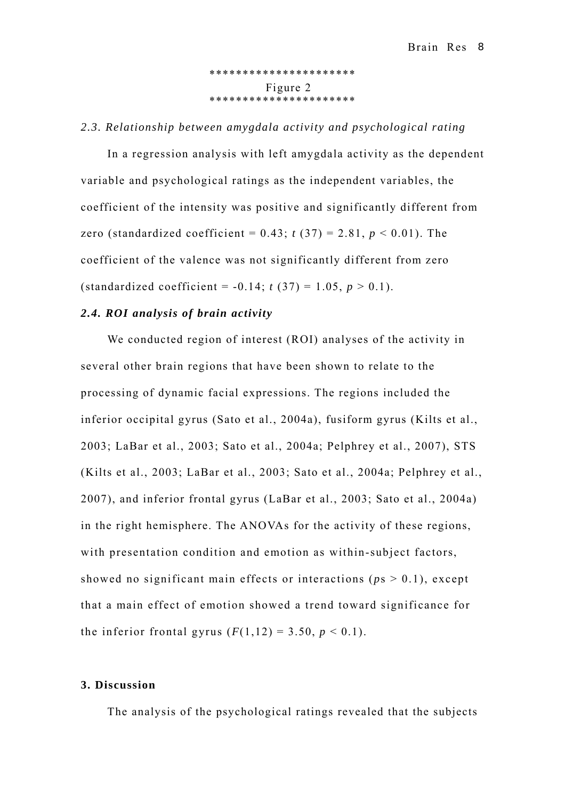\*\*\*\*\*\*\*\*\*\*\*\*\*\*\*\*\*\*\*\*\*\* Figure 2 \*\*\*\*\*\*\*\*\*\*\*\*\*\*\*\*\*\*\*\*\*\*

#### *2.3. Relationship between amygdala activity and psychological rating*

In a regression analysis with left amygdala activity as the dependent variable and psychological ratings as the independent variables, the coefficient of the intensity was positive and significantly different from zero (standardized coefficient =  $0.43$ ;  $t(37) = 2.81$ ,  $p < 0.01$ ). The coefficient of the valence was not significantly different from zero (standardized coefficient =  $-0.14$ ; *t* (37) = 1.05, *p* > 0.1).

# *2.4. ROI analysis of brain activity*

We conducted region of interest (ROI) analyses of the activity in several other brain regions that have been shown to relate to the processing of dynamic facial expressions. The regions included the inferior occipital gyrus (Sato et al., 2004a), fusiform gyrus (Kilts et al., 2003; LaBar et al., 2003; Sato et al., 2004a; Pelphrey et al., 2007), STS (Kilts et al., 2003; LaBar et al., 2003; Sato et al., 2004a; Pelphrey et al., 2007), and inferior frontal gyrus (LaBar et al., 2003; Sato et al., 2004a) in the right hemisphere. The ANOVAs for the activity of these regions, with presentation condition and emotion as within-subject factors, showed no significant main effects or interactions ( $p s > 0.1$ ), except that a main effect of emotion showed a trend toward significance for the inferior frontal gyrus  $(F(1,12) = 3.50, p < 0.1)$ .

# **3. Discussion**

The analysis of the psychological ratings revealed that the subjects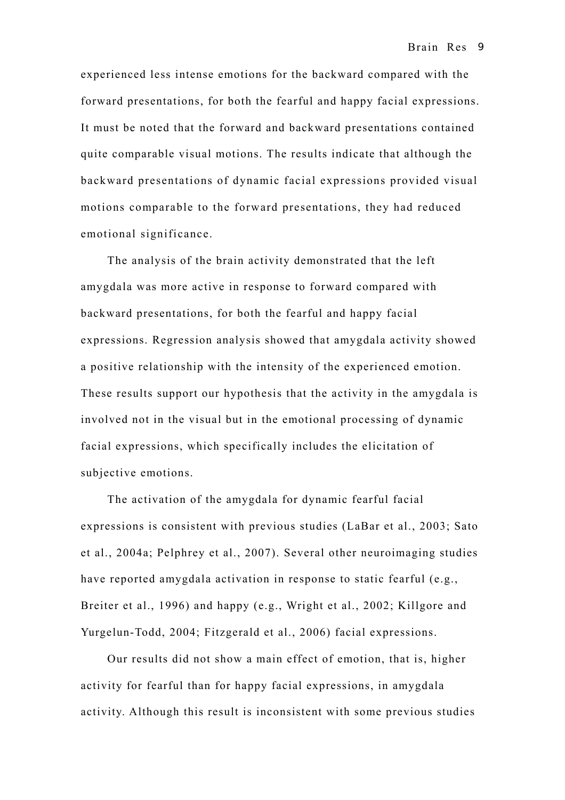experienced less intense emotions for the backward compared with the forward presentations, for both the fearful and happy facial expressions. It must be noted that the forward and backward presentations contained quite comparable visual motions. The results indicate that although the backward presentations of dynamic facial expressions provided visual motions comparable to the forward presentations, they had reduced emotional significance.

The analysis of the brain activity demonstrated that the left amygdala was more active in response to forward compared with backward presentations, for both the fearful and happy facial expressions. Regression analysis showed that amygdala activity showed a positive relationship with the intensity of the experienced emotion. These results support our hypothesis that the activity in the amygdala is involved not in the visual but in the emotional processing of dynamic facial expressions, which specifically includes the elicitation of subjective emotions.

The activation of the amygdala for dynamic fearful facial expressions is consistent with previous studies (LaBar et al., 2003; Sato et al., 2004a; Pelphrey et al., 2007). Several other neuroimaging studies have reported amygdala activation in response to static fearful (e.g., Breiter et al., 1996) and happy (e.g., Wright et al., 2002; Killgore and Yurgelun-Todd, 2004; Fitzgerald et al., 2006) facial expressions.

Our results did not show a main effect of emotion, that is, higher activity for fearful than for happy facial expressions, in amygdala activity. Although this result is inconsistent with some previous studies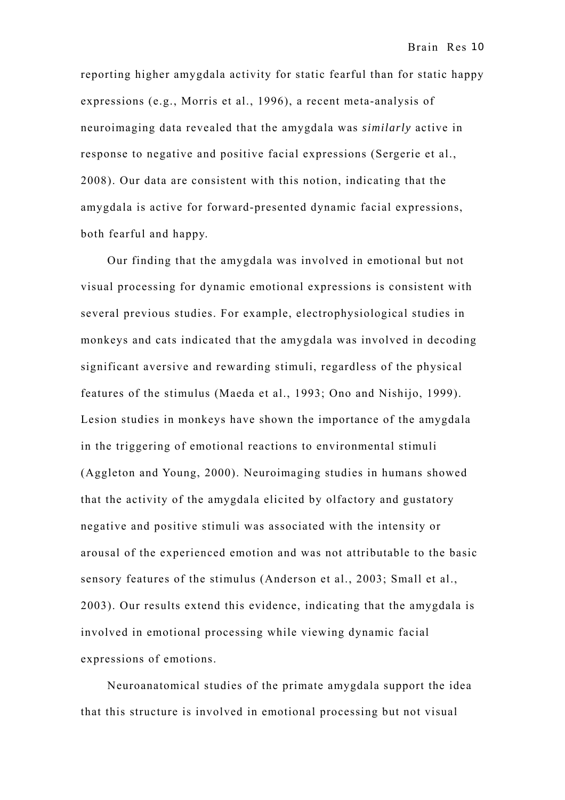reporting higher amygdala activity for static fearful than for static happy expressions (e.g., Morris et al., 1996), a recent meta-analysis of neuroimaging data revealed that the amygdala was *similarly* active in response to negative and positive facial expressions (Sergerie et al., 2008). Our data are consistent with this notion, indicating that the amygdala is active for forward-presented dynamic facial expressions, both fearful and happy.

Our finding that the amygdala was involved in emotional but not visual processing for dynamic emotional expressions is consistent with several previous studies. For example, electrophysiological studies in monkeys and cats indicated that the amygdala was involved in decoding significant aversive and rewarding stimuli, regardless of the physical features of the stimulus (Maeda et al., 1993; Ono and Nishijo, 1999). Lesion studies in monkeys have shown the importance of the amygdala in the triggering of emotional reactions to environmental stimuli (Aggleton and Young, 2000). Neuroimaging studies in humans showed that the activity of the amygdala elicited by olfactory and gustatory negative and positive stimuli was associated with the intensity or arousal of the experienced emotion and was not attributable to the basic sensory features of the stimulus (Anderson et al., 2003; Small et al., 2003). Our results extend this evidence, indicating that the amygdala is involved in emotional processing while viewing dynamic facial expressions of emotions.

Neuroanatomical studies of the primate amygdala support the idea that this structure is involved in emotional processing but not visual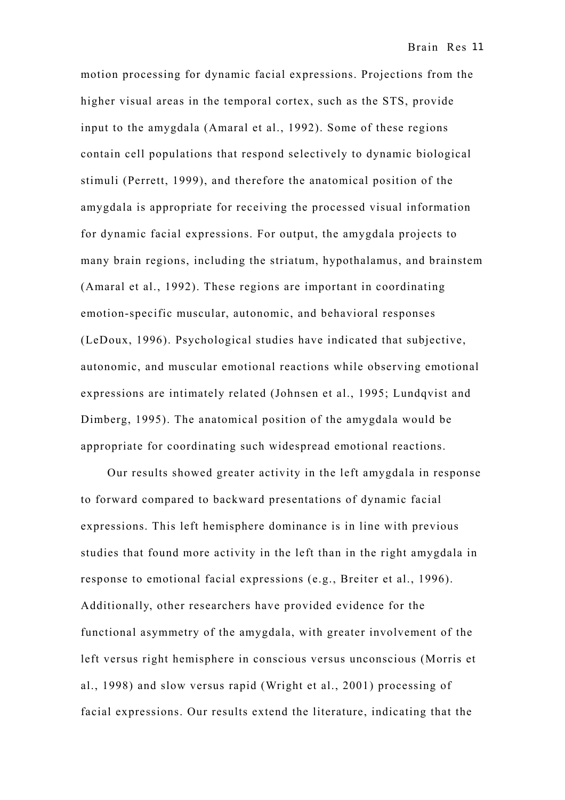motion processing for dynamic facial expressions. Projections from the higher visual areas in the temporal cortex, such as the STS, provide input to the amygdala (Amaral et al., 1992). Some of these regions contain cell populations that respond selectively to dynamic biological stimuli (Perrett, 1999), and therefore the anatomical position of the amygdala is appropriate for receiving the processed visual information for dynamic facial expressions. For output, the amygdala projects to many brain regions, including the striatum, hypothalamus, and brainstem (Amaral et al., 1992). These regions are important in coordinating emotion-specific muscular, autonomic, and behavioral responses (LeDoux, 1996). Psychological studies have indicated that subjective, autonomic, and muscular emotional reactions while observing emotional expressions are intimately related (Johnsen et al., 1995; Lundqvist and Dimberg, 1995). The anatomical position of the amygdala would be appropriate for coordinating such widespread emotional reactions.

Our results showed greater activity in the left amygdala in response to forward compared to backward presentations of dynamic facial expressions. This left hemisphere dominance is in line with previous studies that found more activity in the left than in the right amygdala in response to emotional facial expressions (e.g., Breiter et al., 1996). Additionally, other researchers have provided evidence for the functional asymmetry of the amygdala, with greater involvement of the left versus right hemisphere in conscious versus unconscious (Morris et al., 1998) and slow versus rapid (Wright et al., 2001) processing of facial expressions. Our results extend the literature, indicating that the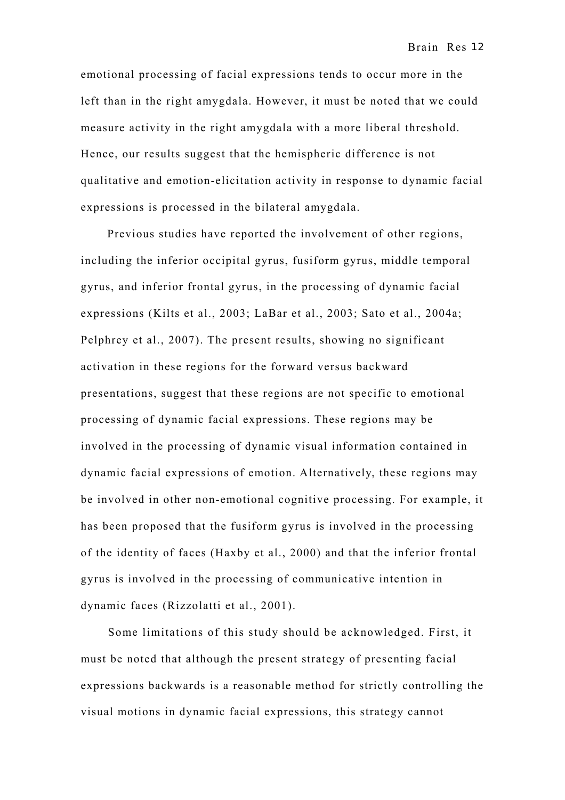emotional processing of facial expressions tends to occur more in the left than in the right amygdala. However, it must be noted that we could measure activity in the right amygdala with a more liberal threshold. Hence, our results suggest that the hemispheric difference is not qualitative and emotion-elicitation activity in response to dynamic facial expressions is processed in the bilateral amygdala.

Previous studies have reported the involvement of other regions, including the inferior occipital gyrus, fusiform gyrus, middle temporal gyrus, and inferior frontal gyrus, in the processing of dynamic facial expressions (Kilts et al., 2003; LaBar et al., 2003; Sato et al., 2004a; Pelphrey et al., 2007). The present results, showing no significant activation in these regions for the forward versus backward presentations, suggest that these regions are not specific to emotional processing of dynamic facial expressions. These regions may be involved in the processing of dynamic visual information contained in dynamic facial expressions of emotion. Alternatively, these regions may be involved in other non-emotional cognitive processing. For example, it has been proposed that the fusiform gyrus is involved in the processing of the identity of faces (Haxby et al., 2000) and that the inferior frontal gyrus is involved in the processing of communicative intention in dynamic faces (Rizzolatti et al., 2001).

Some limitations of this study should be acknowledged. First, it must be noted that although the present strategy of presenting facial expressions backwards is a reasonable method for strictly controlling the visual motions in dynamic facial expressions, this strategy cannot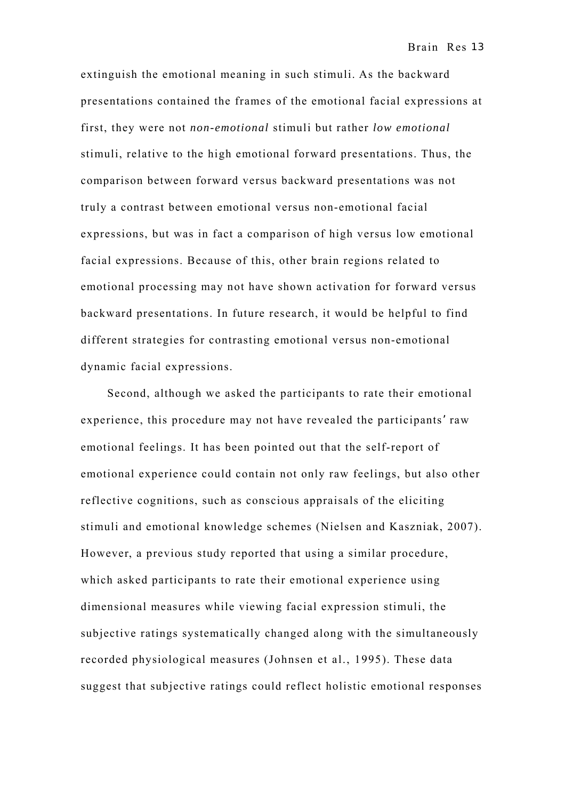extinguish the emotional meaning in such stimuli. As the backward presentations contained the frames of the emotional facial expressions at first, they were not *non-emotional* stimuli but rather *low emotional* stimuli, relative to the high emotional forward presentations. Thus, the comparison between forward versus backward presentations was not truly a contrast between emotional versus non-emotional facial expressions, but was in fact a comparison of high versus low emotional facial expressions. Because of this, other brain regions related to emotional processing may not have shown activation for forward versus backward presentations. In future research, it would be helpful to find different strategies for contrasting emotional versus non-emotional dynamic facial expressions.

Second, although we asked the participants to rate their emotional experience, this procedure may not have revealed the participants' raw emotional feelings. It has been pointed out that the self-report of emotional experience could contain not only raw feelings, but also other reflective cognitions, such as conscious appraisals of the eliciting stimuli and emotional knowledge schemes (Nielsen and Kaszniak, 2007). However, a previous study reported that using a similar procedure, which asked participants to rate their emotional experience using dimensional measures while viewing facial expression stimuli, the subjective ratings systematically changed along with the simultaneously recorded physiological measures (Johnsen et al., 1995). These data suggest that subjective ratings could reflect holistic emotional responses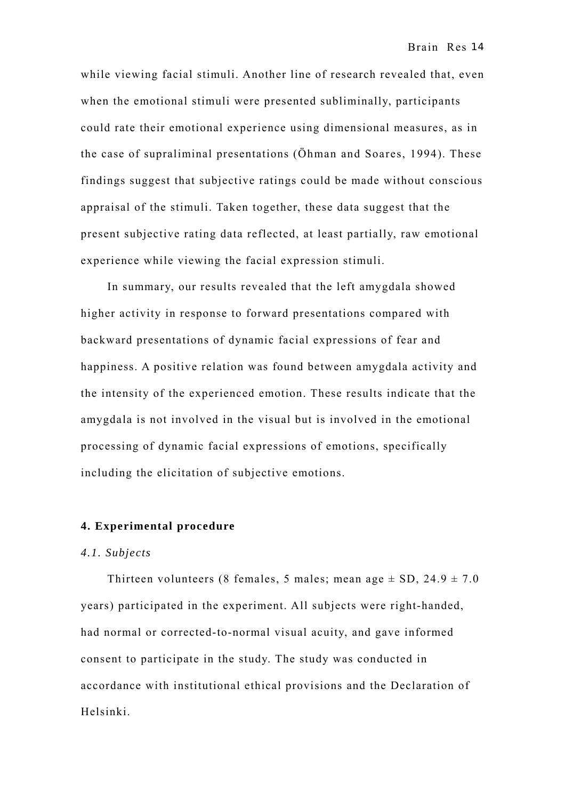while viewing facial stimuli. Another line of research revealed that, even when the emotional stimuli were presented subliminally, participants could rate their emotional experience using dimensional measures, as in the case of supraliminal presentations (Öhman and Soares, 1994). These findings suggest that subjective ratings could be made without conscious appraisal of the stimuli. Taken together, these data suggest that the present subjective rating data reflected, at least partially, raw emotional experience while viewing the facial expression stimuli.

In summary, our results revealed that the left amygdala showed higher activity in response to forward presentations compared with backward presentations of dynamic facial expressions of fear and happiness. A positive relation was found between amygdala activity and the intensity of the experienced emotion. These results indicate that the amygdala is not involved in the visual but is involved in the emotional processing of dynamic facial expressions of emotions, specifically including the elicitation of subjective emotions.

# **4. Experimental procedure**

#### *4.1. Subjects*

Thirteen volunteers (8 females, 5 males; mean age  $\pm$  SD, 24.9  $\pm$  7.0 years) participated in the experiment. All subjects were right-handed, had normal or corrected-to-normal visual acuity, and gave informed consent to participate in the study. The study was conducted in accordance with institutional ethical provisions and the Declaration of Helsinki.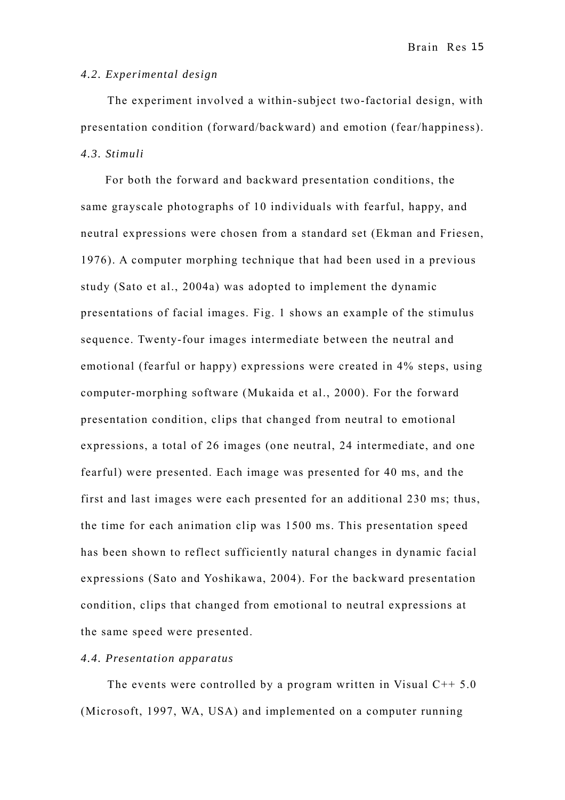Brain Res 15

#### *4.2. Experimental design*

The experiment involved a within-subject two-factorial design, with presentation condition (forward/backward) and emotion (fear/happiness). *4.3. Stimuli* 

For both the forward and backward presentation conditions, the same grayscale photographs of 10 individuals with fearful, happy, and neutral expressions were chosen from a standard set (Ekman and Friesen, 1976). A computer morphing technique that had been used in a previous study (Sato et al., 2004a) was adopted to implement the dynamic presentations of facial images. Fig. 1 shows an example of the stimulus sequence. Twenty-four images intermediate between the neutral and emotional (fearful or happy) expressions were created in 4% steps, using computer-morphing software (Mukaida et al., 2000). For the forward presentation condition, clips that changed from neutral to emotional expressions, a total of 26 images (one neutral, 24 intermediate, and one fearful) were presented. Each image was presented for 40 ms, and the first and last images were each presented for an additional 230 ms; thus, the time for each animation clip was 1500 ms. This presentation speed has been shown to reflect sufficiently natural changes in dynamic facial expressions (Sato and Yoshikawa, 2004). For the backward presentation condition, clips that changed from emotional to neutral expressions at the same speed were presented.

## *4.4. Presentation apparatus*

The events were controlled by a program written in Visual  $C++ 5.0$ (Microsoft, 1997, WA, USA) and implemented on a computer running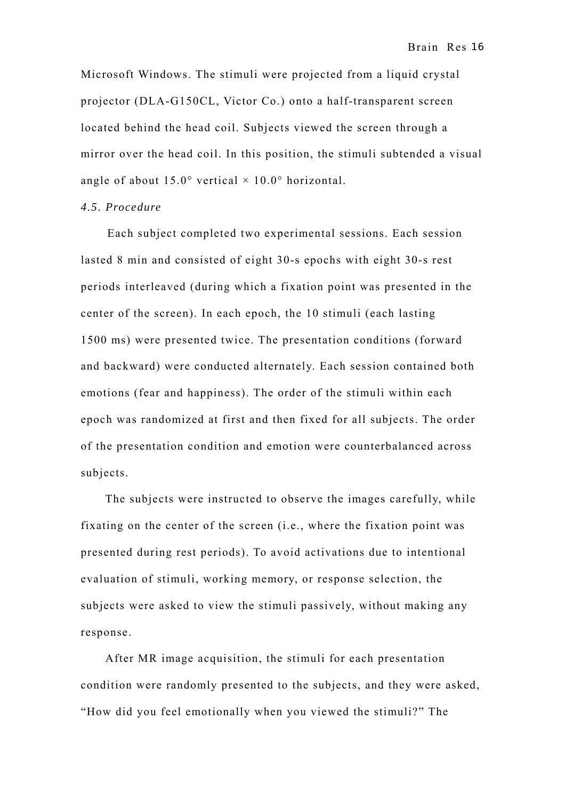Microsoft Windows. The stimuli were projected from a liquid crystal projector (DLA-G150CL, Victor Co.) onto a half-transparent screen located behind the head coil. Subjects viewed the screen through a mirror over the head coil. In this position, the stimuli subtended a visual angle of about  $15.0^{\circ}$  vertical  $\times$  10.0° horizontal.

# *4.5. Procedure*

Each subject completed two experimental sessions. Each session lasted 8 min and consisted of eight 30-s epochs with eight 30-s rest periods interleaved (during which a fixation point was presented in the center of the screen). In each epoch, the 10 stimuli (each lasting 1500 ms) were presented twice. The presentation conditions (forward and backward) were conducted alternately. Each session contained both emotions (fear and happiness). The order of the stimuli within each epoch was randomized at first and then fixed for all subjects. The order of the presentation condition and emotion were counterbalanced across subjects.

The subjects were instructed to observe the images carefully, while fixating on the center of the screen (i.e., where the fixation point was presented during rest periods). To avoid activations due to intentional evaluation of stimuli, working memory, or response selection, the subjects were asked to view the stimuli passively, without making any response.

After MR image acquisition, the stimuli for each presentation condition were randomly presented to the subjects, and they were asked, "How did you feel emotionally when you viewed the stimuli?" The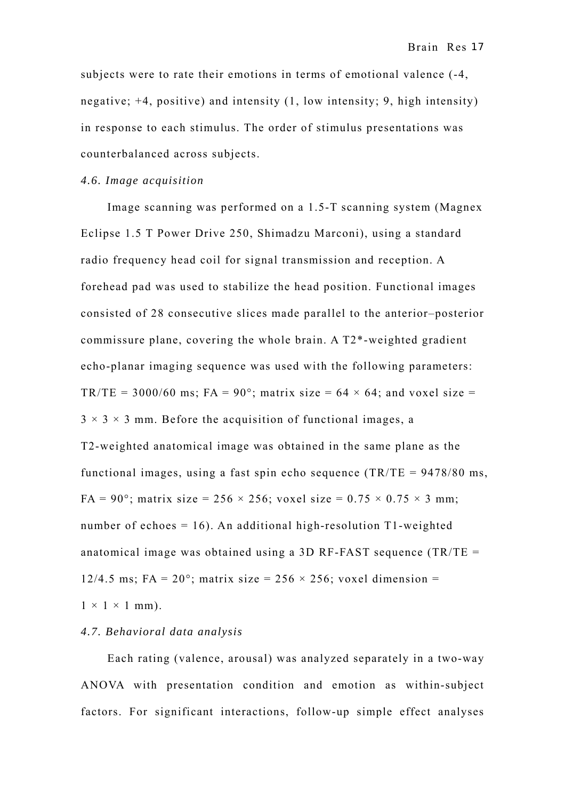subjects were to rate their emotions in terms of emotional valence (-4, negative; +4, positive) and intensity (1, low intensity; 9, high intensity) in response to each stimulus. The order of stimulus presentations was counterbalanced across subjects.

#### *4.6. Image acquisition*

Image scanning was performed on a 1.5-T scanning system (Magnex Eclipse 1.5 T Power Drive 250, Shimadzu Marconi), using a standard radio frequency head coil for signal transmission and reception. A forehead pad was used to stabilize the head position. Functional images consisted of 28 consecutive slices made parallel to the anterior–posterior commissure plane, covering the whole brain. A T2\*-weighted gradient echo-planar imaging sequence was used with the following parameters: TR/TE = 3000/60 ms; FA = 90°; matrix size =  $64 \times 64$ ; and voxel size =  $3 \times 3 \times 3$  mm. Before the acquisition of functional images, a T2-weighted anatomical image was obtained in the same plane as the functional images, using a fast spin echo sequence  $(TR/TE = 9478/80$  ms, FA = 90°; matrix size = 256  $\times$  256; voxel size = 0.75  $\times$  0.75  $\times$  3 mm; number of echoes  $= 16$ ). An additional high-resolution T1-weighted anatomical image was obtained using a 3D RF-FAST sequence (TR/TE = 12/4.5 ms; FA =  $20^{\circ}$ ; matrix size =  $256 \times 256$ ; voxel dimension =  $1 \times 1 \times 1$  mm).

#### *4.7. Behavioral data analysis*

Each rating (valence, arousal) was analyzed separately in a two-way ANOVA with presentation condition and emotion as within-subject factors. For significant interactions, follow-up simple effect analyses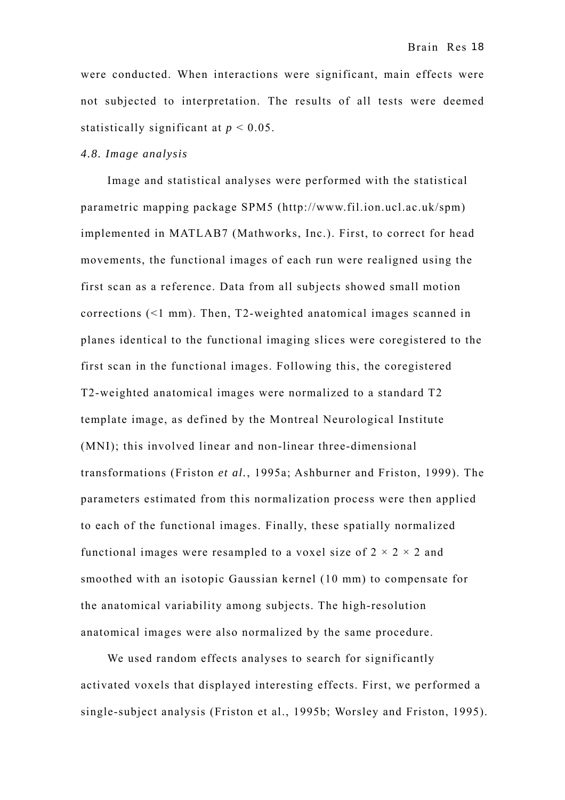were conducted. When interactions were significant, main effects were not subjected to interpretation. The results of all tests were deemed statistically significant at *p* < 0.05.

#### *4.8. Image analysis*

Image and statistical analyses were performed with the statistical parametric mapping package SPM5 (http://www.fil.ion.ucl.ac.uk/spm) implemented in MATLAB7 (Mathworks, Inc.). First, to correct for head movements, the functional images of each run were realigned using the first scan as a reference. Data from all subjects showed small motion corrections (<1 mm). Then, T2-weighted anatomical images scanned in planes identical to the functional imaging slices were coregistered to the first scan in the functional images. Following this, the coregistered T2-weighted anatomical images were normalized to a standard T2 template image, as defined by the Montreal Neurological Institute (MNI); this involved linear and non-linear three-dimensional transformations (Friston *et al.*, 1995a; Ashburner and Friston, 1999). The parameters estimated from this normalization process were then applied to each of the functional images. Finally, these spatially normalized functional images were resampled to a voxel size of  $2 \times 2 \times 2$  and smoothed with an isotopic Gaussian kernel (10 mm) to compensate for the anatomical variability among subjects. The high-resolution anatomical images were also normalized by the same procedure.

We used random effects analyses to search for significantly activated voxels that displayed interesting effects. First, we performed a single-subject analysis (Friston et al., 1995b; Worsley and Friston, 1995).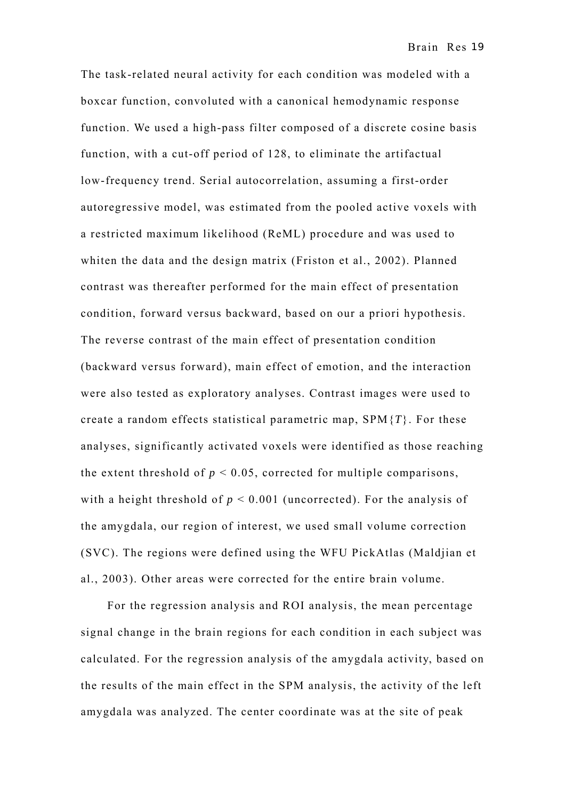The task-related neural activity for each condition was modeled with a boxcar function, convoluted with a canonical hemodynamic response function. We used a high-pass filter composed of a discrete cosine basis function, with a cut-off period of 128, to eliminate the artifactual low-frequency trend. Serial autocorrelation, assuming a first-order autoregressive model, was estimated from the pooled active voxels with a restricted maximum likelihood (ReML) procedure and was used to whiten the data and the design matrix (Friston et al., 2002). Planned contrast was thereafter performed for the main effect of presentation condition, forward versus backward, based on our a priori hypothesis. The reverse contrast of the main effect of presentation condition (backward versus forward), main effect of emotion, and the interaction were also tested as exploratory analyses. Contrast images were used to create a random effects statistical parametric map, SPM{*T*}. For these analyses, significantly activated voxels were identified as those reaching the extent threshold of  $p < 0.05$ , corrected for multiple comparisons, with a height threshold of  $p < 0.001$  (uncorrected). For the analysis of the amygdala, our region of interest, we used small volume correction (SVC). The regions were defined using the WFU PickAtlas (Maldjian et al., 2003). Other areas were corrected for the entire brain volume.

For the regression analysis and ROI analysis, the mean percentage signal change in the brain regions for each condition in each subject was calculated. For the regression analysis of the amygdala activity, based on the results of the main effect in the SPM analysis, the activity of the left amygdala was analyzed. The center coordinate was at the site of peak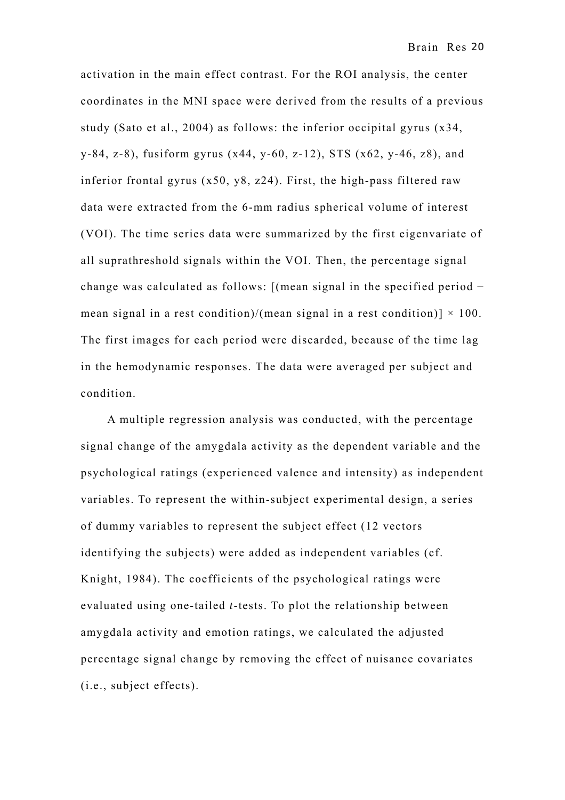activation in the main effect contrast. For the ROI analysis, the center coordinates in the MNI space were derived from the results of a previous study (Sato et al., 2004) as follows: the inferior occipital gyrus (x34, y-84, z-8), fusiform gyrus (x44, y-60, z-12), STS (x62, y-46, z8), and inferior frontal gyrus (x50, y8, z24). First, the high-pass filtered raw data were extracted from the 6-mm radius spherical volume of interest (VOI). The time series data were summarized by the first eigenvariate of all suprathreshold signals within the VOI. Then, the percentage signal change was calculated as follows: [(mean signal in the specified period − mean signal in a rest condition)/(mean signal in a rest condition)]  $\times$  100. The first images for each period were discarded, because of the time lag in the hemodynamic responses. The data were averaged per subject and condition.

A multiple regression analysis was conducted, with the percentage signal change of the amygdala activity as the dependent variable and the psychological ratings (experienced valence and intensity) as independent variables. To represent the within-subject experimental design, a series of dummy variables to represent the subject effect (12 vectors identifying the subjects) were added as independent variables (cf. Knight, 1984). The coefficients of the psychological ratings were evaluated using one-tailed *t*-tests. To plot the relationship between amygdala activity and emotion ratings, we calculated the adjusted percentage signal change by removing the effect of nuisance covariates (i.e., subject effects).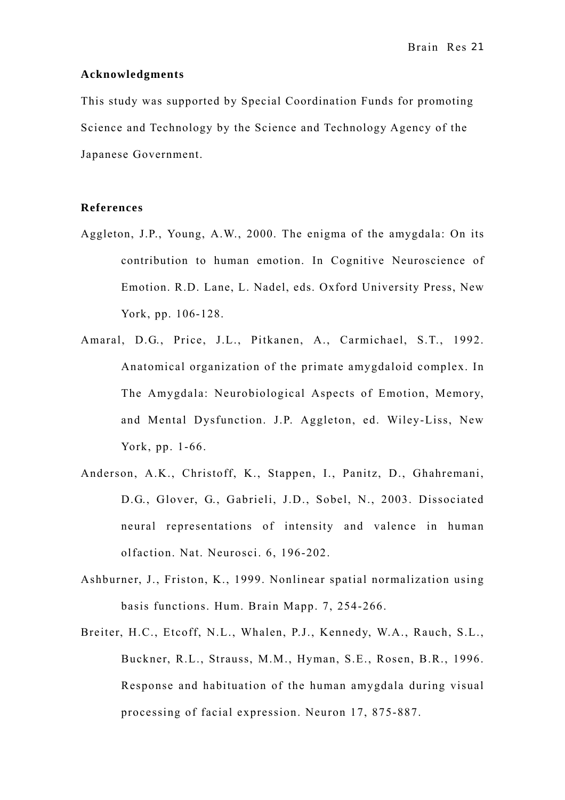#### **Acknowledgments**

This study was supported by Special Coordination Funds for promoting Science and Technology by the Science and Technology Agency of the Japanese Government.

## **References**

- Aggleton, J.P., Young, A.W., 2000. The enigma of the amygdala: On its contribution to human emotion. In Cognitive Neuroscience of Emotion. R.D. Lane, L. Nadel, eds. Oxford University Press, New York, pp. 106-128.
- Amaral, D.G., Price, J.L., Pitkanen, A., Carmichael, S.T., 1992. Anatomical organization of the primate amygdaloid complex. In The Amygdala: Neurobiological Aspects of Emotion, Memory, and Mental Dysfunction. J.P. Aggleton, ed. Wiley-Liss, New York, pp. 1-66.
- Anderson, A.K., Christoff, K., Stappen, I., Panitz, D., Ghahremani, D.G., Glover, G., Gabrieli, J.D., Sobel, N., 2003. Dissociated neural representations of intensity and valence in human olfaction. Nat. Neurosci. 6, 196-202.
- Ashburner, J., Friston, K., 1999. Nonlinear spatial normalization using basis functions. Hum. Brain Mapp. 7, 254-266.
- Breiter, H.C., Etcoff, N.L., Whalen, P.J., Kennedy, W.A., Rauch, S.L., Buckner, R.L., Strauss, M.M., Hyman, S.E., Rosen, B.R., 1996. Response and habituation of the human amygdala during visual processing of facial expression. Neuron 17, 875-887.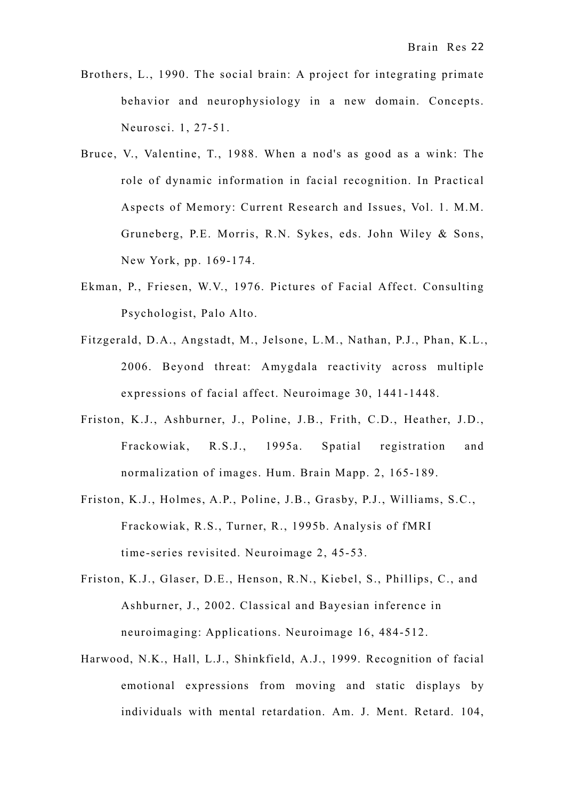- Brothers, L., 1990. The social brain: A project for integrating primate behavior and neurophysiology in a new domain. Concepts. Neurosci. 1, 27-51.
- Bruce, V., Valentine, T., 1988. When a nod's as good as a wink: The role of dynamic information in facial recognition. In Practical Aspects of Memory: Current Research and Issues, Vol. 1. M.M. Gruneberg, P.E. Morris, R.N. Sykes, eds. John Wiley & Sons, New York, pp. 169-174.
- Ekman, P., Friesen, W.V., 1976. Pictures of Facial Affect. Consulting Psychologist, Palo Alto.
- Fitzgerald, D.A., Angstadt, M., Jelsone, L.M., Nathan, P.J., Phan, K.L., 2006. Beyond threat: Amygdala reactivity across multiple expressions of facial affect. Neuroimage 30, 1441-1448.
- Friston, K.J., Ashburner, J., Poline, J.B., Frith, C.D., Heather, J.D., Frackowiak, R.S.J., 1995a. Spatial registration and normalization of images. Hum. Brain Mapp. 2, 165-189.
- Friston, K.J., Holmes, A.P., Poline, J.B., Grasby, P.J., Williams, S.C., Frackowiak, R.S., Turner, R., 1995b. Analysis of fMRI time-series revisited. Neuroimage 2, 45-53.
- Friston, K.J., Glaser, D.E., Henson, R.N., Kiebel, S., Phillips, C., and Ashburner, J., 2002. Classical and Bayesian inference in neuroimaging: Applications. Neuroimage 16, 484-512.
- Harwood, N.K., Hall, L.J., Shinkfield, A.J., 1999. Recognition of facial emotional expressions from moving and static displays by individuals with mental retardation. Am. J. Ment. Retard. 104,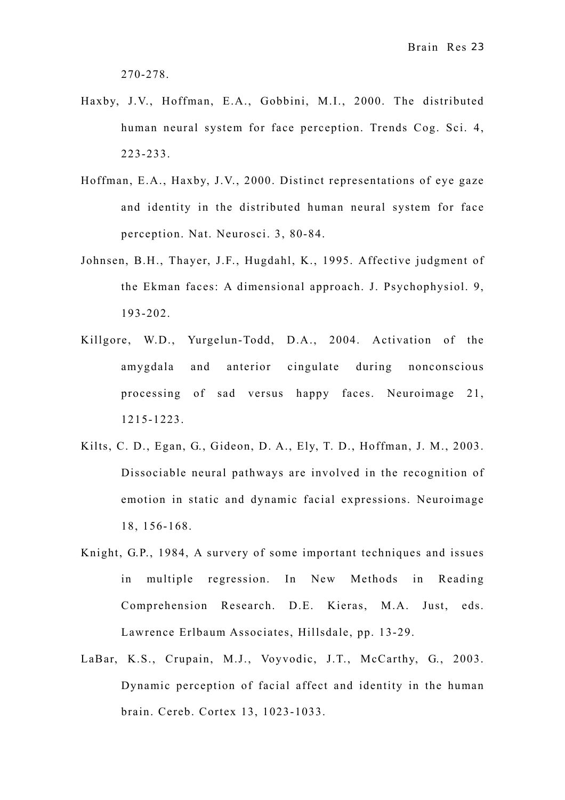270-278.

- Haxby, J.V., Hoffman, E.A., Gobbini, M.I., 2000. The distributed human neural system for face perception. Trends Cog. Sci. 4, 223-233.
- Hoffman, E.A., Haxby, J.V., 2000. Distinct representations of eye gaze and identity in the distributed human neural system for face perception. Nat. Neurosci. 3, 80-84.
- Johnsen, B.H., Thayer, J.F., Hugdahl, K., 1995. Affective judgment of the Ekman faces: A dimensional approach. J. Psychophysiol. 9, 193-202.
- Killgore, W.D., Yurgelun-Todd, D.A., 2004. Activation of the amygdala and anterior cingulate during nonconscious processing of sad versus happy faces. Neuroimage 21, 1215-1223.
- Kilts, C. D., Egan, G., Gideon, D. A., Ely, T. D., Hoffman, J. M., 2003. Dissociable neural pathways are involved in the recognition of emotion in static and dynamic facial expressions. Neuroimage 18, 156-168.
- Knight, G.P., 1984, A survery of some important techniques and issues in multiple regression. In New Methods in Reading Comprehension Research. D.E. Kieras, M.A. Just, eds. Lawrence Erlbaum Associates, Hillsdale, pp. 13-29.
- LaBar, K.S., Crupain, M.J., Voyvodic, J.T., McCarthy, G., 2003. Dynamic perception of facial affect and identity in the human brain. Cereb. Cortex 13, 1023-1033.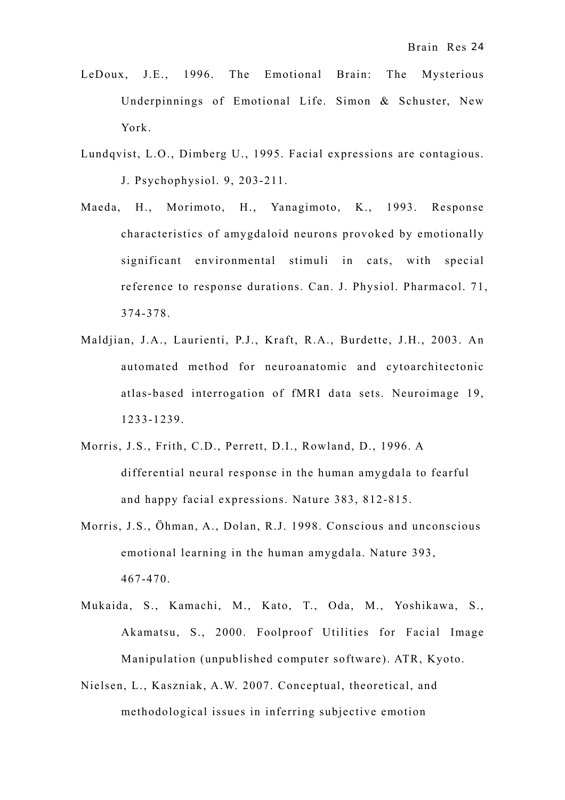- LeDoux, J.E., 1996. The Emotional Brain: The Mysterious Underpinnings of Emotional Life. Simon & Schuster, New York.
- Lundqvist, L.O., Dimberg U., 1995. Facial expressions are contagious. J. Psychophysiol. 9, 203-211.
- Maeda, H., Morimoto, H., Yanagimoto, K., 1993. Response characteristics of amygdaloid neurons provoked by emotionally significant environmental stimuli in cats, with special reference to response durations. Can. J. Physiol. Pharmacol. 71, 374-378.
- Maldjian, J.A., Laurienti, P.J., Kraft, R.A., Burdette, J.H., 2003. An automated method for neuroanatomic and cytoarchitectonic atlas-based interrogation of fMRI data sets. Neuroimage 19, 1233-1239.
- Morris, J.S., Frith, C.D., Perrett, D.I., Rowland, D., 1996. A differential neural response in the human amygdala to fearful and happy facial expressions. Nature 383, 812-815.
- Morris, J.S., Öhman, A., Dolan, R.J. 1998. Conscious and unconscious emotional learning in the human amygdala. Nature 393, 467-470.
- Mukaida, S., Kamachi, M., Kato, T., Oda, M., Yoshikawa, S., Akamatsu, S., 2000. Foolproof Utilities for Facial Image Manipulation (unpublished computer software). ATR, Kyoto.
- Nielsen, L., Kaszniak, A.W. 2007. Conceptual, theoretical, and methodological issues in inferring subjective emotion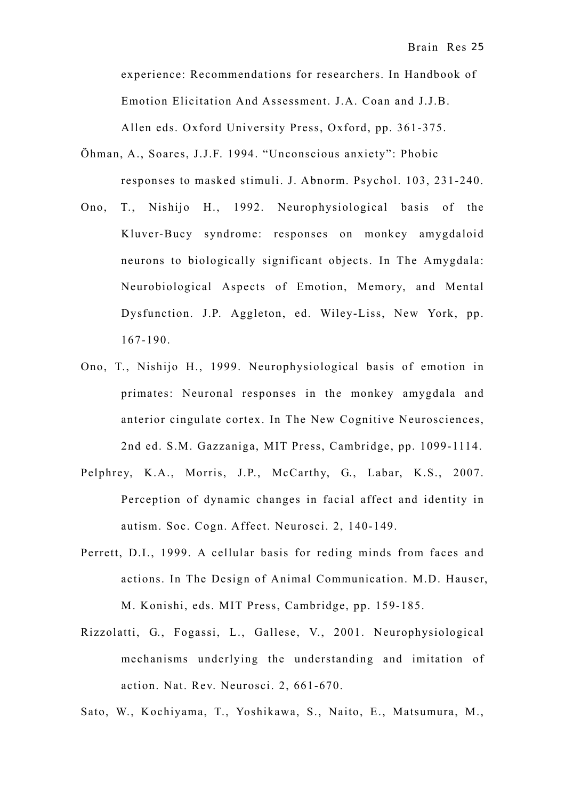experience: Recommendations for researchers. In Handbook of Emotion Elicitation And Assessment. J.A. Coan and J.J.B. Allen eds. Oxford University Press, Oxford, pp. 361-375.

- Öhman, A., Soares, J.J.F. 1994. "Unconscious anxiety": Phobic responses to masked stimuli. J. Abnorm. Psychol. 103, 231-240.
- Ono, T., Nishijo H., 1992. Neurophysiological basis of the Kluver-Bucy syndrome: responses on monkey amygdaloid neurons to biologically significant objects. In The Amygdala: Neurobiological Aspects of Emotion, Memory, and Mental Dysfunction. J.P. Aggleton, ed. Wiley-Liss, New York, pp. 167-190.
- Ono, T., Nishijo H., 1999. Neurophysiological basis of emotion in primates: Neuronal responses in the monkey amygdala and anterior cingulate cortex. In The New Cognitive Neurosciences, 2nd ed. S.M. Gazzaniga, MIT Press, Cambridge, pp. 1099-1114.
- Pelphrey, K.A., Morris, J.P., McCarthy, G., Labar, K.S., 2007. Perception of dynamic changes in facial affect and identity in autism. Soc. Cogn. Affect. Neurosci. 2, 140-149.
- Perrett, D.I., 1999. A cellular basis for reding minds from faces and actions. In The Design of Animal Communication. M.D. Hauser, M. Konishi, eds. MIT Press, Cambridge, pp. 159-185.
- Rizzolatti, G., Fogassi, L., Gallese, V., 2001. Neurophysiological mechanisms underlying the understanding and imitation of action. Nat. Rev. Neurosci. 2, 661-670.

Sato, W., Kochiyama, T., Yoshikawa, S., Naito, E., Matsumura, M.,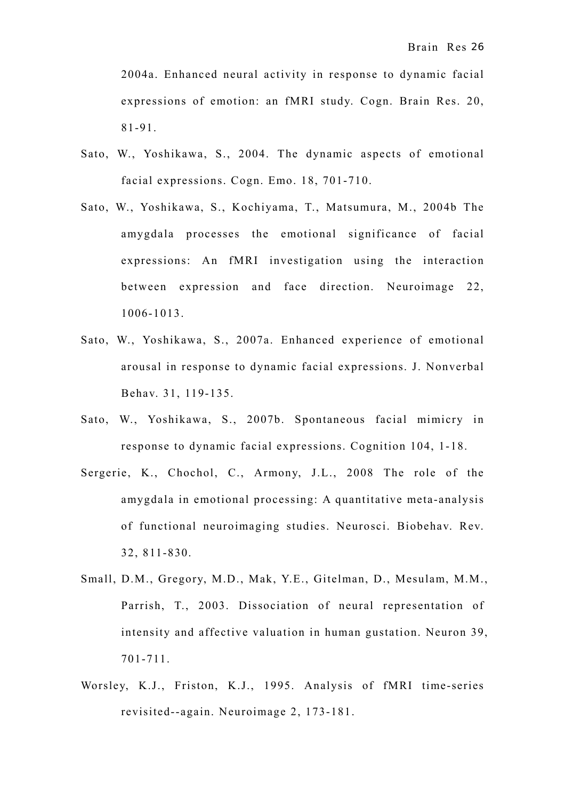2004a. Enhanced neural activity in response to dynamic facial expressions of emotion: an fMRI study. Cogn. Brain Res. 20, 81-91.

- Sato, W., Yoshikawa, S., 2004. The dynamic aspects of emotional facial expressions. Cogn. Emo. 18, 701-710.
- Sato, W., Yoshikawa, S., Kochiyama, T., Matsumura, M., 2004b The amygdala processes the emotional significance of facial expressions: An fMRI investigation using the interaction between expression and face direction. Neuroimage 22, 1006-1013.
- Sato, W., Yoshikawa, S., 2007a. Enhanced experience of emotional arousal in response to dynamic facial expressions. J. Nonverbal Behav. 31, 119-135.
- Sato, W., Yoshikawa, S., 2007b. Spontaneous facial mimicry in response to dynamic facial expressions. Cognition 104, 1-18.
- Sergerie, K., Chochol, C., Armony, J.L., 2008 The role of the amygdala in emotional processing: A quantitative meta-analysis of functional neuroimaging studies. Neurosci. Biobehav. Rev. 32, 811-830.
- Small, D.M., Gregory, M.D., Mak, Y.E., Gitelman, D., Mesulam, M.M., Parrish, T., 2003. Dissociation of neural representation of intensity and affective valuation in human gustation. Neuron 39, 701-711.
- Worsley, K.J., Friston, K.J., 1995. Analysis of fMRI time-series revisited--again. Neuroimage 2, 173-181.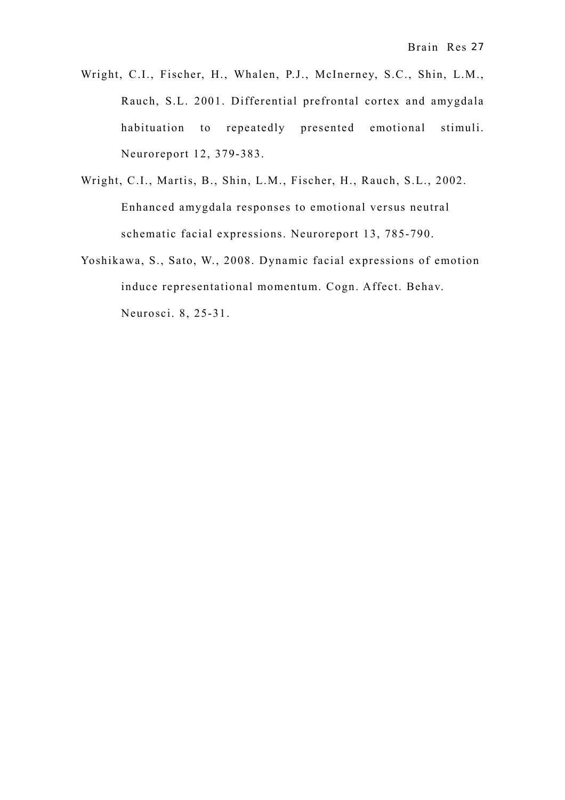- Wright, C.I., Fischer, H., Whalen, P.J., McInerney, S.C., Shin, L.M., Rauch, S.L. 2001. Differential prefrontal cortex and amygdala habituation to repeatedly presented emotional stimuli. Neuroreport 12, 379-383.
- Wright, C.I., Martis, B., Shin, L.M., Fischer, H., Rauch, S.L., 2002. Enhanced amygdala responses to emotional versus neutral schematic facial expressions. Neuroreport 13, 785-790.
- Yoshikawa, S., Sato, W., 2008. Dynamic facial expressions of emotion induce representational momentum. Cogn. Affect. Behav. Neurosci. 8, 25-31.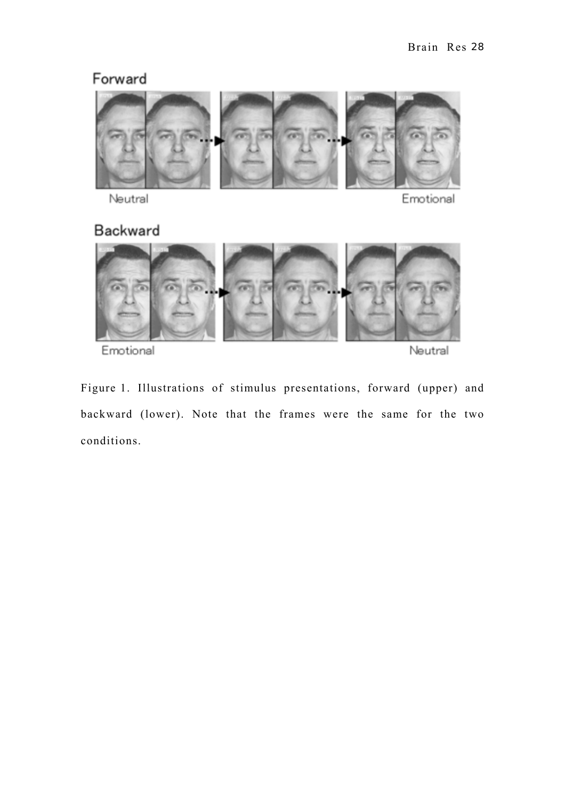# Forward



Neutral

Emotional

# Backward



Emotional

Neutral

Figure 1. Illustrations of stimulus presentations, forward (upper) and backward (lower). Note that the frames were the same for the two conditions.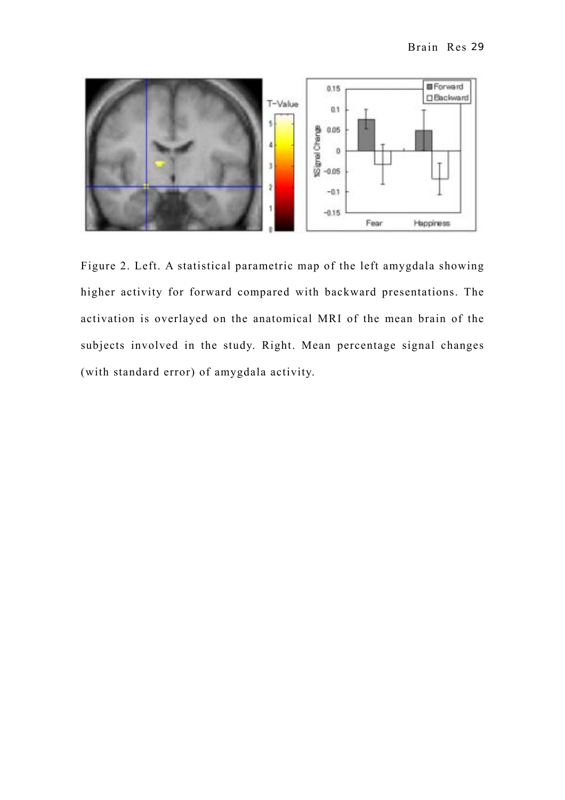

Figure 2. Left. A statistical parametric map of the left amygdala showing higher activity for forward compared with backward presentations. The activation is overlayed on the anatomical MRI of the mean brain of the subjects involved in the study. Right. Mean percentage signal changes (with standard error) of amygdala activity.